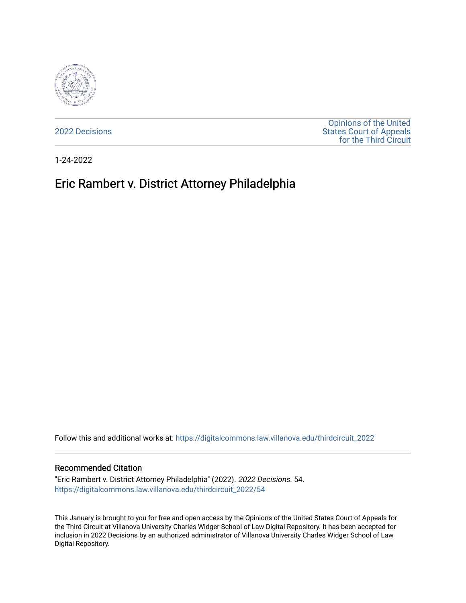

[2022 Decisions](https://digitalcommons.law.villanova.edu/thirdcircuit_2022)

[Opinions of the United](https://digitalcommons.law.villanova.edu/thirdcircuit)  [States Court of Appeals](https://digitalcommons.law.villanova.edu/thirdcircuit)  [for the Third Circuit](https://digitalcommons.law.villanova.edu/thirdcircuit) 

1-24-2022

# Eric Rambert v. District Attorney Philadelphia

Follow this and additional works at: [https://digitalcommons.law.villanova.edu/thirdcircuit\\_2022](https://digitalcommons.law.villanova.edu/thirdcircuit_2022?utm_source=digitalcommons.law.villanova.edu%2Fthirdcircuit_2022%2F54&utm_medium=PDF&utm_campaign=PDFCoverPages) 

#### Recommended Citation

"Eric Rambert v. District Attorney Philadelphia" (2022). 2022 Decisions. 54. [https://digitalcommons.law.villanova.edu/thirdcircuit\\_2022/54](https://digitalcommons.law.villanova.edu/thirdcircuit_2022/54?utm_source=digitalcommons.law.villanova.edu%2Fthirdcircuit_2022%2F54&utm_medium=PDF&utm_campaign=PDFCoverPages)

This January is brought to you for free and open access by the Opinions of the United States Court of Appeals for the Third Circuit at Villanova University Charles Widger School of Law Digital Repository. It has been accepted for inclusion in 2022 Decisions by an authorized administrator of Villanova University Charles Widger School of Law Digital Repository.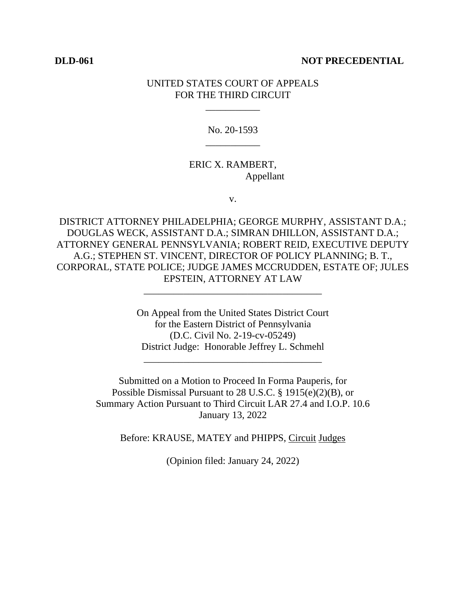#### **DLD-061 NOT PRECEDENTIAL**

### UNITED STATES COURT OF APPEALS FOR THE THIRD CIRCUIT

\_\_\_\_\_\_\_\_\_\_\_

No. 20-1593 \_\_\_\_\_\_\_\_\_\_\_

## ERIC X. RAMBERT, Appellant

v.

DISTRICT ATTORNEY PHILADELPHIA; GEORGE MURPHY, ASSISTANT D.A.; DOUGLAS WECK, ASSISTANT D.A.; SIMRAN DHILLON, ASSISTANT D.A.; ATTORNEY GENERAL PENNSYLVANIA; ROBERT REID, EXECUTIVE DEPUTY A.G.; STEPHEN ST. VINCENT, DIRECTOR OF POLICY PLANNING; B. T., CORPORAL, STATE POLICE; JUDGE JAMES MCCRUDDEN, ESTATE OF; JULES EPSTEIN, ATTORNEY AT LAW

\_\_\_\_\_\_\_\_\_\_\_\_\_\_\_\_\_\_\_\_\_\_\_\_\_\_\_\_\_\_\_\_\_\_\_\_

On Appeal from the United States District Court for the Eastern District of Pennsylvania (D.C. Civil No. 2-19-cv-05249) District Judge: Honorable Jeffrey L. Schmehl

\_\_\_\_\_\_\_\_\_\_\_\_\_\_\_\_\_\_\_\_\_\_\_\_\_\_\_\_\_\_\_\_\_\_\_\_

Submitted on a Motion to Proceed In Forma Pauperis, for Possible Dismissal Pursuant to 28 U.S.C. § 1915(e)(2)(B), or Summary Action Pursuant to Third Circuit LAR 27.4 and I.O.P. 10.6 January 13, 2022

Before: KRAUSE, MATEY and PHIPPS, Circuit Judges

(Opinion filed: January 24, 2022)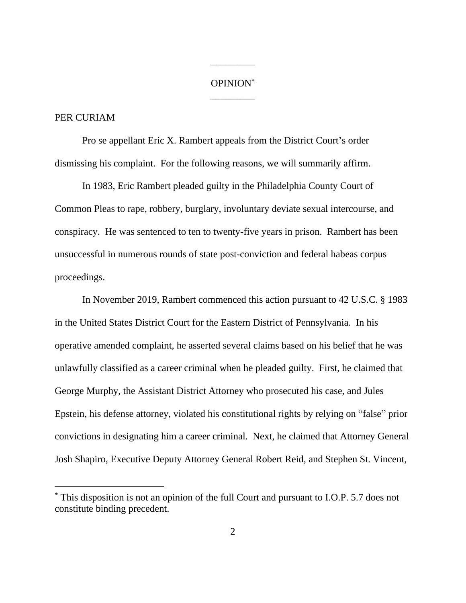# OPINION\* \_\_\_\_\_\_\_\_\_

\_\_\_\_\_\_\_\_\_

## PER CURIAM

Pro se appellant Eric X. Rambert appeals from the District Court's order dismissing his complaint. For the following reasons, we will summarily affirm.

In 1983, Eric Rambert pleaded guilty in the Philadelphia County Court of Common Pleas to rape, robbery, burglary, involuntary deviate sexual intercourse, and conspiracy. He was sentenced to ten to twenty-five years in prison. Rambert has been unsuccessful in numerous rounds of state post-conviction and federal habeas corpus proceedings.

In November 2019, Rambert commenced this action pursuant to 42 U.S.C. § 1983 in the United States District Court for the Eastern District of Pennsylvania. In his operative amended complaint, he asserted several claims based on his belief that he was unlawfully classified as a career criminal when he pleaded guilty. First, he claimed that George Murphy, the Assistant District Attorney who prosecuted his case, and Jules Epstein, his defense attorney, violated his constitutional rights by relying on "false" prior convictions in designating him a career criminal. Next, he claimed that Attorney General Josh Shapiro, Executive Deputy Attorney General Robert Reid, and Stephen St. Vincent,

<sup>\*</sup> This disposition is not an opinion of the full Court and pursuant to I.O.P. 5.7 does not constitute binding precedent.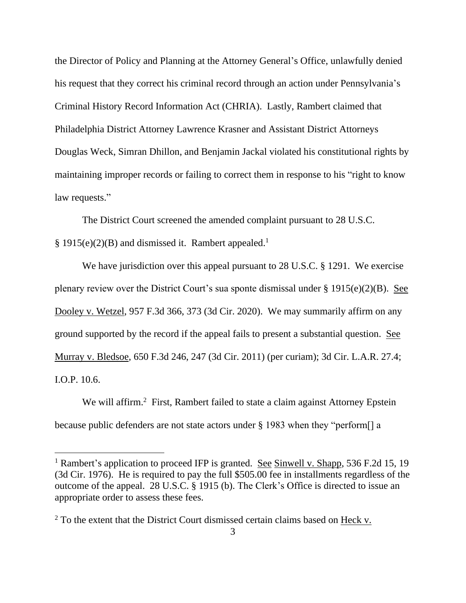the Director of Policy and Planning at the Attorney General's Office, unlawfully denied his request that they correct his criminal record through an action under Pennsylvania's Criminal History Record Information Act (CHRIA). Lastly, Rambert claimed that Philadelphia District Attorney Lawrence Krasner and Assistant District Attorneys Douglas Weck, Simran Dhillon, and Benjamin Jackal violated his constitutional rights by maintaining improper records or failing to correct them in response to his "right to know law requests."

The District Court screened the amended complaint pursuant to 28 U.S.C. § 1915(e)(2)(B) and dismissed it. Rambert appealed.<sup>1</sup>

We have jurisdiction over this appeal pursuant to 28 U.S.C. § 1291. We exercise plenary review over the District Court's sua sponte dismissal under  $\S 1915(e)(2)(B)$ . See Dooley v. Wetzel, 957 F.3d 366, 373 (3d Cir. 2020). We may summarily affirm on any ground supported by the record if the appeal fails to present a substantial question. See Murray v. Bledsoe, 650 F.3d 246, 247 (3d Cir. 2011) (per curiam); 3d Cir. L.A.R. 27.4; I.O.P. 10.6.

We will affirm.<sup>2</sup> First, Rambert failed to state a claim against Attorney Epstein because public defenders are not state actors under § 1983 when they "perform[] a

<sup>&</sup>lt;sup>1</sup> Rambert's application to proceed IFP is granted. See Sinwell v. Shapp, 536 F.2d 15, 19 (3d Cir. 1976). He is required to pay the full \$505.00 fee in installments regardless of the outcome of the appeal. 28 U.S.C. § 1915 (b). The Clerk's Office is directed to issue an appropriate order to assess these fees.

 $2$  To the extent that the District Court dismissed certain claims based on Heck v.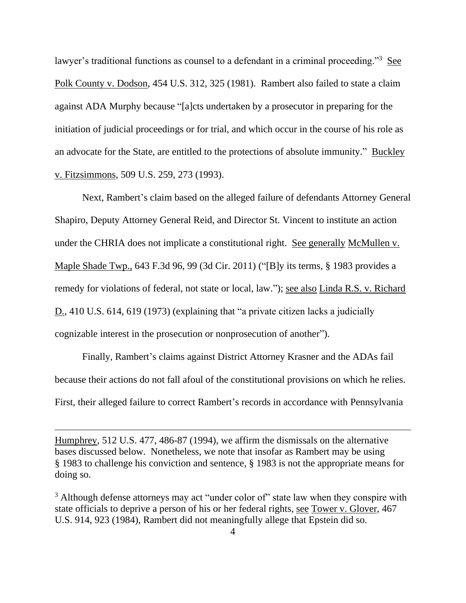lawyer's traditional functions as counsel to a defendant in a criminal proceeding."<sup>3</sup> See Polk County v. Dodson, 454 U.S. 312, 325 (1981). Rambert also failed to state a claim against ADA Murphy because "[a]cts undertaken by a prosecutor in preparing for the initiation of judicial proceedings or for trial, and which occur in the course of his role as an advocate for the State, are entitled to the protections of absolute immunity." Buckley v. Fitzsimmons, 509 U.S. 259, 273 (1993).

Next, Rambert's claim based on the alleged failure of defendants Attorney General Shapiro, Deputy Attorney General Reid, and Director St. Vincent to institute an action under the CHRIA does not implicate a constitutional right. See generally McMullen v. Maple Shade Twp., 643 F.3d 96, 99 (3d Cir. 2011) ("[B]y its terms, § 1983 provides a remedy for violations of federal, not state or local, law."); <u>see also Linda R.S. v. Richard</u> D., 410 U.S. 614, 619 (1973) (explaining that "a private citizen lacks a judicially cognizable interest in the prosecution or nonprosecution of another").

Finally, Rambert's claims against District Attorney Krasner and the ADAs fail because their actions do not fall afoul of the constitutional provisions on which he relies. First, their alleged failure to correct Rambert's records in accordance with Pennsylvania

Humphrey, 512 U.S. 477, 486-87 (1994), we affirm the dismissals on the alternative bases discussed below. Nonetheless, we note that insofar as Rambert may be using § 1983 to challenge his conviction and sentence, § 1983 is not the appropriate means for doing so.

<sup>&</sup>lt;sup>3</sup> Although defense attorneys may act "under color of" state law when they conspire with state officials to deprive a person of his or her federal rights, see Tower v. Glover, 467 U.S. 914, 923 (1984), Rambert did not meaningfully allege that Epstein did so.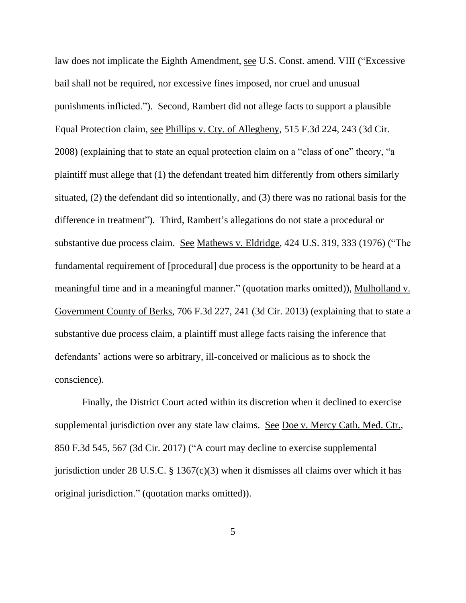law does not implicate the Eighth Amendment, see U.S. Const. amend. VIII ("Excessive bail shall not be required, nor excessive fines imposed, nor cruel and unusual punishments inflicted."). Second, Rambert did not allege facts to support a plausible Equal Protection claim, see Phillips v. Cty. of Allegheny, 515 F.3d 224, 243 (3d Cir. 2008) (explaining that to state an equal protection claim on a "class of one" theory, "a plaintiff must allege that (1) the defendant treated him differently from others similarly situated, (2) the defendant did so intentionally, and (3) there was no rational basis for the difference in treatment"). Third, Rambert's allegations do not state a procedural or substantive due process claim. See Mathews v. Eldridge, 424 U.S. 319, 333 (1976) ("The fundamental requirement of [procedural] due process is the opportunity to be heard at a meaningful time and in a meaningful manner." (quotation marks omitted)), Mulholland v. Government County of Berks, 706 F.3d 227, 241 (3d Cir. 2013) (explaining that to state a substantive due process claim, a plaintiff must allege facts raising the inference that defendants' actions were so arbitrary, ill-conceived or malicious as to shock the conscience).

Finally, the District Court acted within its discretion when it declined to exercise supplemental jurisdiction over any state law claims. See Doe v. Mercy Cath. Med. Ctr., 850 F.3d 545, 567 (3d Cir. 2017) ("A court may decline to exercise supplemental jurisdiction under 28 U.S.C.  $\S$  1367(c)(3) when it dismisses all claims over which it has original jurisdiction." (quotation marks omitted)).